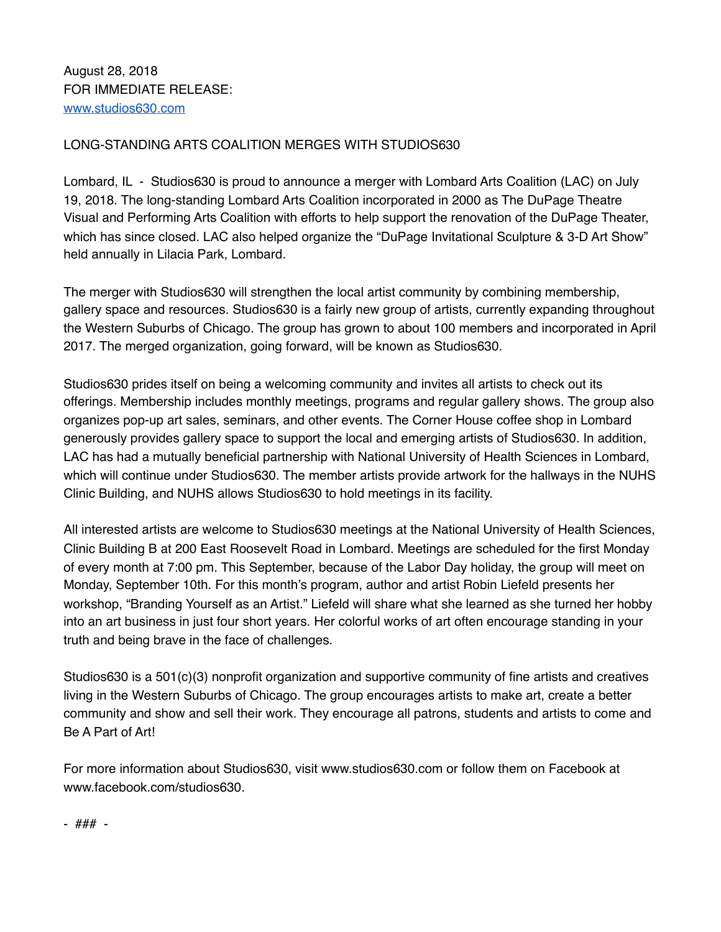## LONG-STANDING ARTS COALITION MERGES WITH STUDIOS630

Lombard, IL - Studios630 is proud to announce a merger with Lombard Arts Coalition (LAC) on July 19, 2018. The long-standing Lombard Arts Coalition incorporated in 2000 as The DuPage Theatre Visual and Performing Arts Coalition with efforts to help support the renovation of the DuPage Theater, which has since closed. LAC also helped organize the "DuPage Invitational Sculpture & 3-D Art Show" held annually in Lilacia Park, Lombard.

The merger with Studios630 will strengthen the local artist community by combining membership, gallery space and resources. Studios630 is a fairly new group of artists, currently expanding throughout the Western Suburbs of Chicago. The group has grown to about 100 members and incorporated in April 2017. The merged organization, going forward, will be known as Studios630.

Studios630 prides itself on being a welcoming community and invites all artists to check out its offerings. Membership includes monthly meetings, programs and regular gallery shows. The group also organizes pop-up art sales, seminars, and other events. The Corner House coffee shop in Lombard generously provides gallery space to support the local and emerging artists of Studios630. In addition, LAC has had a mutually beneficial partnership with National University of Health Sciences in Lombard, which will continue under Studios630. The member artists provide artwork for the hallways in the NUHS Clinic Building, and NUHS allows Studios630 to hold meetings in its facility.

All interested artists are welcome to Studios630 meetings at the National University of Health Sciences, Clinic Building B at 200 East Roosevelt Road in Lombard. Meetings are scheduled for the first Monday of every month at 7:00 pm. This September, because of the Labor Day holiday, the group will meet on Monday, September 10th. For this month's program, author and artist Robin Liefeld presents her workshop, "Branding Yourself as an Artist." Liefeld will share what she learned as she turned her hobby into an art business in just four short years. Her colorful works of art often encourage standing in your truth and being brave in the face of challenges.

Studios630 is a 501(c)(3) nonprofit organization and supportive community of fine artists and creatives living in the Western Suburbs of Chicago. The group encourages artists to make art, create a better community and show and sell their work. They encourage all patrons, students and artists to come and Be A Part of Art!

For more information about Studios630, visit www.studios630.com or follow them on Facebook at www.facebook.com/studios630.

- ### -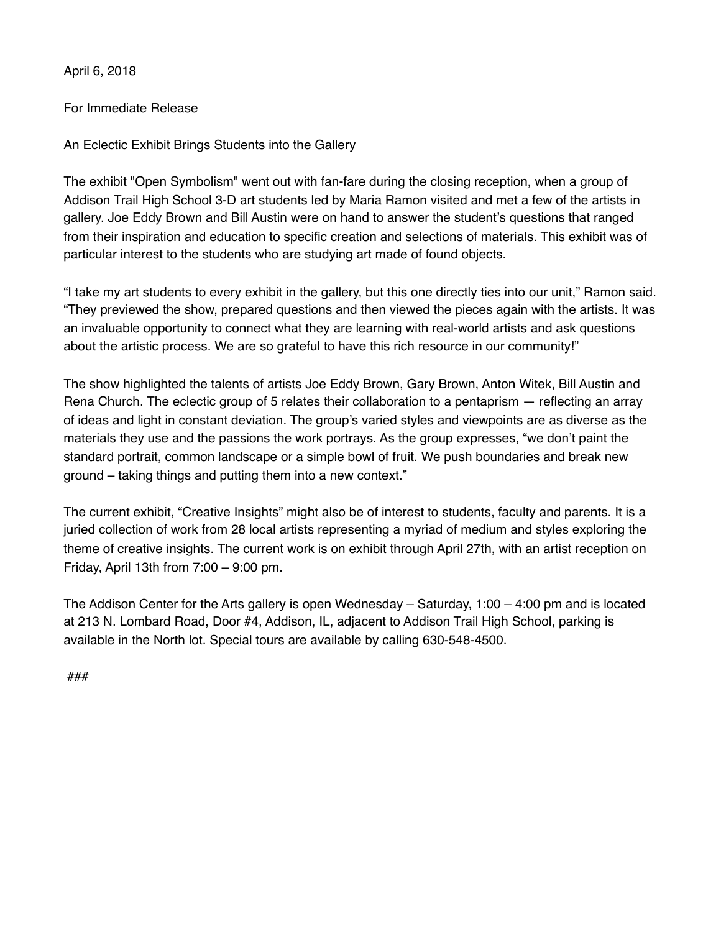April 6, 2018

## For Immediate Release

An Eclectic Exhibit Brings Students into the Gallery

The exhibit "Open Symbolism" went out with fan-fare during the closing reception, when a group of Addison Trail High School 3-D art students led by Maria Ramon visited and met a few of the artists in gallery. Joe Eddy Brown and Bill Austin were on hand to answer the student's questions that ranged from their inspiration and education to specific creation and selections of materials. This exhibit was of particular interest to the students who are studying art made of found objects.

"I take my art students to every exhibit in the gallery, but this one directly ties into our unit," Ramon said. "They previewed the show, prepared questions and then viewed the pieces again with the artists. It was an invaluable opportunity to connect what they are learning with real-world artists and ask questions about the artistic process. We are so grateful to have this rich resource in our community!"

The show highlighted the talents of artists Joe Eddy Brown, Gary Brown, Anton Witek, Bill Austin and Rena Church. The eclectic group of 5 relates their collaboration to a pentaprism — reflecting an array of ideas and light in constant deviation. The group's varied styles and viewpoints are as diverse as the materials they use and the passions the work portrays. As the group expresses, "we don't paint the standard portrait, common landscape or a simple bowl of fruit. We push boundaries and break new ground – taking things and putting them into a new context."

The current exhibit, "Creative Insights" might also be of interest to students, faculty and parents. It is a juried collection of work from 28 local artists representing a myriad of medium and styles exploring the theme of creative insights. The current work is on exhibit through April 27th, with an artist reception on Friday, April 13th from 7:00 – 9:00 pm.

The Addison Center for the Arts gallery is open Wednesday – Saturday, 1:00 – 4:00 pm and is located at 213 N. Lombard Road, Door #4, Addison, IL, adjacent to Addison Trail High School, parking is available in the North lot. Special tours are available by calling 630-548-4500.

###